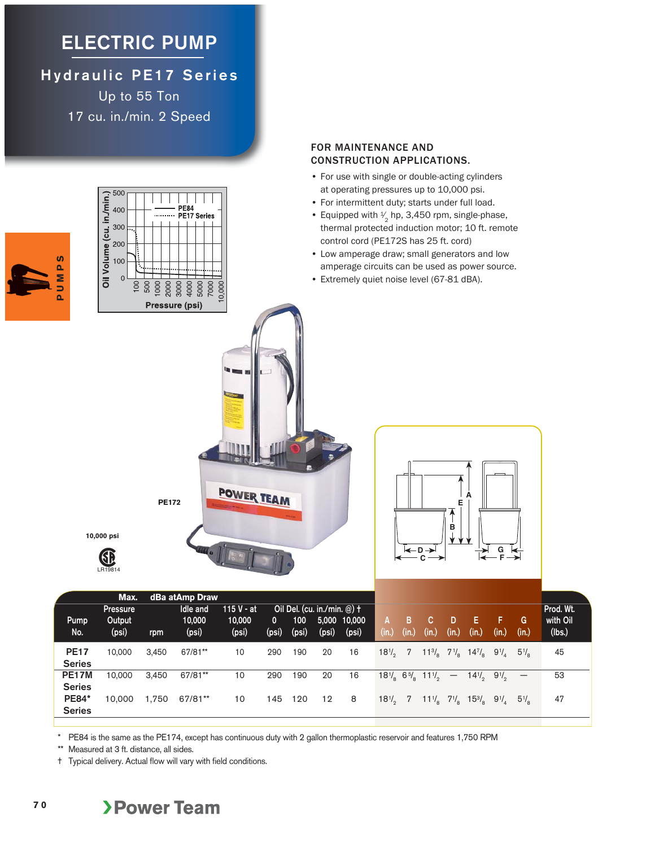## **ELECTRIC PUMP**

**Hydraulic PE17 Series** Up to 55 Ton 17 cu. in./min. 2 Speed



FOR MAINTENANCE AND

CONSTRUCTION APPLICATIONS.

\* PE84 is the same as the PE174, except has continuous duty with 2 gallon thermoplastic reservoir and features 1,750 RPM

\*\* Measured at 3 ft. distance, all sides.

**7 0**

† Typical delivery. Actual flow will vary with field conditions.